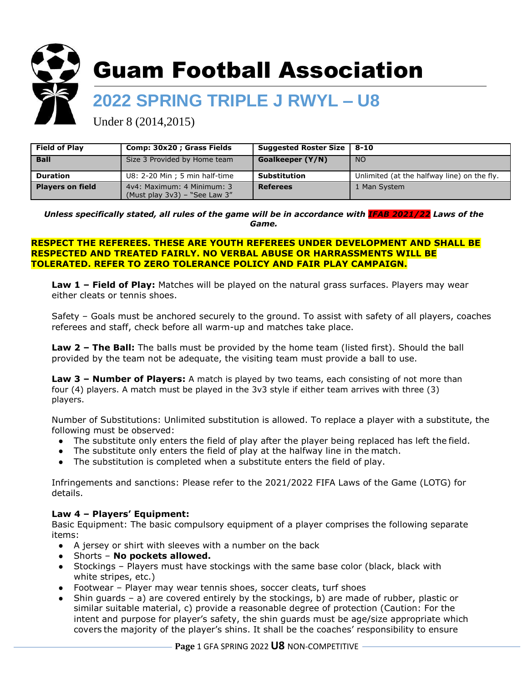

# Guam Football Association

# **2022 SPRING TRIPLE J RWYL – U8**

Under 8 (2014,2015)

| <b>Field of Play</b>    | Comp: 30x20 ; Grass Fields                                        | Suggested Roster Size   8-10 |                                             |
|-------------------------|-------------------------------------------------------------------|------------------------------|---------------------------------------------|
| <b>Ball</b>             | Size 3 Provided by Home team                                      | Goalkeeper (Y/N)             | NO <sub>1</sub>                             |
| <b>Duration</b>         | U8: 2-20 Min ; 5 min half-time                                    | <b>Substitution</b>          | Unlimited (at the halfway line) on the fly. |
| <b>Players on field</b> | 4y4: Maximum: 4 Minimum: 3<br>(Must play $3v3$ ) – "See Law $3''$ | <b>Referees</b>              | 1 Man System                                |

*Unless specifically stated, all rules of the game will be in accordance with IFAB 2021/22 Laws of the Game.*

#### **RESPECT THE REFEREES. THESE ARE YOUTH REFEREES UNDER DEVELOPMENT AND SHALL BE RESPECTED AND TREATED FAIRLY. NO VERBAL ABUSE OR HARRASSMENTS WILL BE TOLERATED. REFER TO ZERO TOLERANCE POLICY AND FAIR PLAY CAMPAIGN.**

**Law 1 – Field of Play:** Matches will be played on the natural grass surfaces. Players may wear either cleats or tennis shoes.

Safety – Goals must be anchored securely to the ground. To assist with safety of all players, coaches referees and staff, check before all warm-up and matches take place.

**Law 2 – The Ball:** The balls must be provided by the home team (listed first). Should the ball provided by the team not be adequate, the visiting team must provide a ball to use.

**Law 3 – Number of Players:** A match is played by two teams, each consisting of not more than four (4) players. A match must be played in the 3v3 style if either team arrives with three (3) players.

Number of Substitutions: Unlimited substitution is allowed. To replace a player with a substitute, the following must be observed:

- The substitute only enters the field of play after the player being replaced has left the field.
- The substitute only enters the field of play at the halfway line in the match.
- The substitution is completed when a substitute enters the field of play.

Infringements and sanctions: Please refer to the 2021/2022 FIFA Laws of the Game (LOTG) for details.

# **Law 4 – Players' Equipment:**

Basic Equipment: The basic compulsory equipment of a player comprises the following separate items:

- A jersey or shirt with sleeves with a number on the back
- Shorts **No pockets allowed.**
- Stockings Players must have stockings with the same base color (black, black with white stripes, etc.)
- Footwear Player may wear tennis shoes, soccer cleats, turf shoes
- Shin guards a) are covered entirely by the stockings, b) are made of rubber, plastic or similar suitable material, c) provide a reasonable degree of protection (Caution: For the intent and purpose for player's safety, the shin guards must be age/size appropriate which covers the majority of the player's shins. It shall be the coaches' responsibility to ensure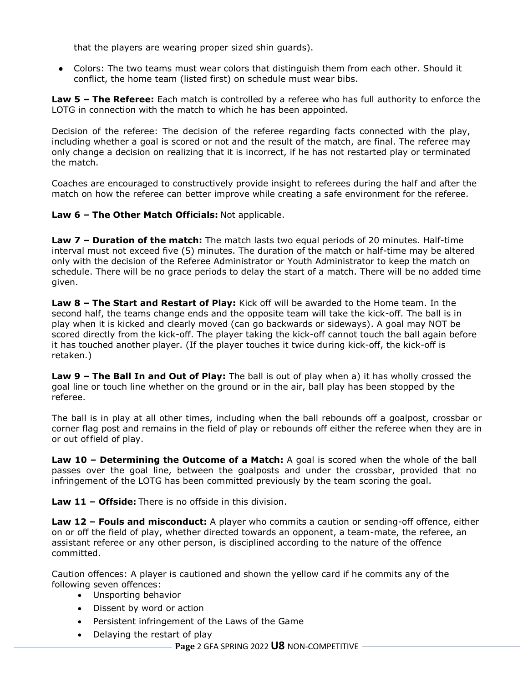that the players are wearing proper sized shin guards).

● Colors: The two teams must wear colors that distinguish them from each other. Should it conflict, the home team (listed first) on schedule must wear bibs.

**Law 5 – The Referee:** Each match is controlled by a referee who has full authority to enforce the LOTG in connection with the match to which he has been appointed.

Decision of the referee: The decision of the referee regarding facts connected with the play, including whether a goal is scored or not and the result of the match, are final. The referee may only change a decision on realizing that it is incorrect, if he has not restarted play or terminated the match.

Coaches are encouraged to constructively provide insight to referees during the half and after the match on how the referee can better improve while creating a safe environment for the referee.

**Law 6 – The Other Match Officials:** Not applicable.

**Law 7 – Duration of the match:** The match lasts two equal periods of 20 minutes. Half-time interval must not exceed five (5) minutes. The duration of the match or half-time may be altered only with the decision of the Referee Administrator or Youth Administrator to keep the match on schedule. There will be no grace periods to delay the start of a match. There will be no added time given.

**Law 8 – The Start and Restart of Play:** Kick off will be awarded to the Home team. In the second half, the teams change ends and the opposite team will take the kick-off. The ball is in play when it is kicked and clearly moved (can go backwards or sideways). A goal may NOT be scored directly from the kick-off. The player taking the kick-off cannot touch the ball again before it has touched another player. (If the player touches it twice during kick-off, the kick-off is retaken.)

**Law 9 – The Ball In and Out of Play:** The ball is out of play when a) it has wholly crossed the goal line or touch line whether on the ground or in the air, ball play has been stopped by the referee.

The ball is in play at all other times, including when the ball rebounds off a goalpost, crossbar or corner flag post and remains in the field of play or rebounds off either the referee when they are in or out offield of play.

**Law 10 - Determining the Outcome of a Match:** A goal is scored when the whole of the ball passes over the goal line, between the goalposts and under the crossbar, provided that no infringement of the LOTG has been committed previously by the team scoring the goal.

**Law 11 – Offside:** There is no offside in this division.

**Law 12 – Fouls and misconduct:** A player who commits a caution or sending-off offence, either on or off the field of play, whether directed towards an opponent, a team-mate, the referee, an assistant referee or any other person, is disciplined according to the nature of the offence committed.

Caution offences: A player is cautioned and shown the yellow card if he commits any of the following seven offences:

- Unsporting behavior
- Dissent by word or action
- Persistent infringement of the Laws of the Game
- Delaying the restart of play

**Page** 2 GFA SPRING 2022 **U8** NON-COMPETITIVE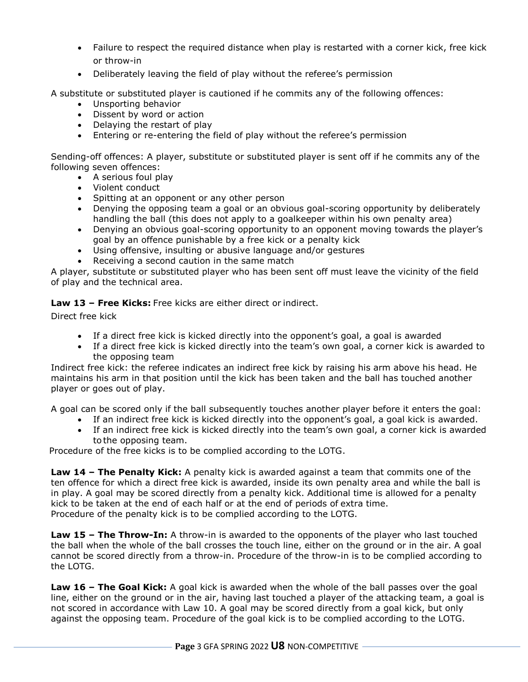- Failure to respect the required distance when play is restarted with a corner kick, free kick or throw-in
- Deliberately leaving the field of play without the referee's permission

A substitute or substituted player is cautioned if he commits any of the following offences:

- Unsporting behavior
- Dissent by word or action
- Delaving the restart of play
- Entering or re-entering the field of play without the referee's permission

Sending-off offences: A player, substitute or substituted player is sent off if he commits any of the following seven offences:

- A serious foul play
- Violent conduct
- Spitting at an opponent or any other person
- Denying the opposing team a goal or an obvious goal-scoring opportunity by deliberately handling the ball (this does not apply to a goalkeeper within his own penalty area)
- Denying an obvious goal-scoring opportunity to an opponent moving towards the player's goal by an offence punishable by a free kick or a penalty kick
- Using offensive, insulting or abusive language and/or gestures
- Receiving a second caution in the same match

A player, substitute or substituted player who has been sent off must leave the vicinity of the field of play and the technical area.

**Law 13 – Free Kicks:** Free kicks are either direct or indirect.

Direct free kick

- If a direct free kick is kicked directly into the opponent's goal, a goal is awarded
- If a direct free kick is kicked directly into the team's own goal, a corner kick is awarded to the opposing team

Indirect free kick: the referee indicates an indirect free kick by raising his arm above his head. He maintains his arm in that position until the kick has been taken and the ball has touched another player or goes out of play.

A goal can be scored only if the ball subsequently touches another player before it enters the goal:

- If an indirect free kick is kicked directly into the opponent's goal, a goal kick is awarded.
- If an indirect free kick is kicked directly into the team's own goal, a corner kick is awarded to the opposing team.

Procedure of the free kicks is to be complied according to the LOTG.

**Law 14 – The Penalty Kick:** A penalty kick is awarded against a team that commits one of the ten offence for which a direct free kick is awarded, inside its own penalty area and while the ball is in play. A goal may be scored directly from a penalty kick. Additional time is allowed for a penalty kick to be taken at the end of each half or at the end of periods of extra time. Procedure of the penalty kick is to be complied according to the LOTG.

**Law 15 – The Throw-In:** A throw-in is awarded to the opponents of the player who last touched the ball when the whole of the ball crosses the touch line, either on the ground or in the air. A goal cannot be scored directly from a throw-in. Procedure of the throw-in is to be complied according to the LOTG.

**Law 16 – The Goal Kick:** A goal kick is awarded when the whole of the ball passes over the goal line, either on the ground or in the air, having last touched a player of the attacking team, a goal is not scored in accordance with Law 10. A goal may be scored directly from a goal kick, but only against the opposing team. Procedure of the goal kick is to be complied according to the LOTG.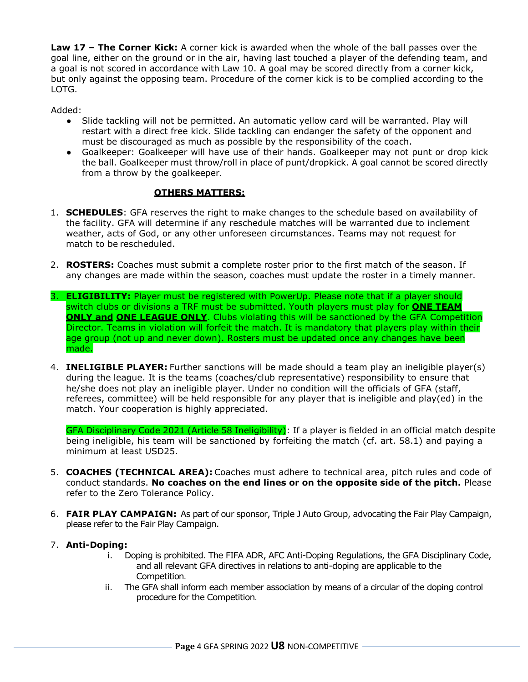**Law 17 – The Corner Kick:** A corner kick is awarded when the whole of the ball passes over the goal line, either on the ground or in the air, having last touched a player of the defending team, and a goal is not scored in accordance with Law 10. A goal may be scored directly from a corner kick, but only against the opposing team. Procedure of the corner kick is to be complied according to the LOTG.

Added:

- Slide tackling will not be permitted. An automatic yellow card will be warranted. Play will restart with a direct free kick. Slide tackling can endanger the safety of the opponent and must be discouraged as much as possible by the responsibility of the coach.
- Goalkeeper: Goalkeeper will have use of their hands. Goalkeeper may not punt or drop kick the ball. Goalkeeper must throw/roll in place of punt/dropkick. A goal cannot be scored directly from a throw by the goalkeeper.

# **OTHERS MATTERS:**

- 1. **SCHEDULES**: GFA reserves the right to make changes to the schedule based on availability of the facility. GFA will determine if any reschedule matches will be warranted due to inclement weather, acts of God, or any other unforeseen circumstances. Teams may not request for match to be rescheduled.
- 2. **ROSTERS:** Coaches must submit a complete roster prior to the first match of the season. If any changes are made within the season, coaches must update the roster in a timely manner.
- 3. **ELIGIBILITY:** Player must be registered with PowerUp. Please note that if a player should switch clubs or divisions a TRF must be submitted. Youth players must play for **ONE TEAM ONLY and ONE LEAGUE ONLY.** Clubs violating this will be sanctioned by the GFA Competition Director. Teams in violation will forfeit the match. It is mandatory that players play within their age group (not up and never down). Rosters must be updated once any changes have been made.
- 4. **INELIGIBLE PLAYER:** Further sanctions will be made should a team play an ineligible player(s) during the league. It is the teams (coaches/club representative) responsibility to ensure that he/she does not play an ineligible player. Under no condition will the officials of GFA (staff, referees, committee) will be held responsible for any player that is ineligible and play(ed) in the match. Your cooperation is highly appreciated.

GFA Disciplinary Code 2021 (Article 58 Ineligibility): If a player is fielded in an official match despite being ineligible, his team will be sanctioned by forfeiting the match (cf. art. 58.1) and paying a minimum at least USD25.

- 5. **COACHES (TECHNICAL AREA):** Coaches must adhere to technical area, pitch rules and code of conduct standards. **No coaches on the end lines or on the opposite side of the pitch.** Please refer to the Zero Tolerance Policy.
- 6. **FAIR PLAY CAMPAIGN:** As part of our sponsor, Triple J Auto Group, advocating the Fair Play Campaign, please refer to the Fair Play Campaign.

# 7. **Anti-Doping:**

- i. Doping is prohibited. The FIFA ADR, AFC Anti-Doping Regulations, the GFA Disciplinary Code, and all relevant GFA directives in relations to anti-doping are applicable to the Competition.
- ii. The GFA shall inform each member association by means of a circular of the doping control procedure for the Competition.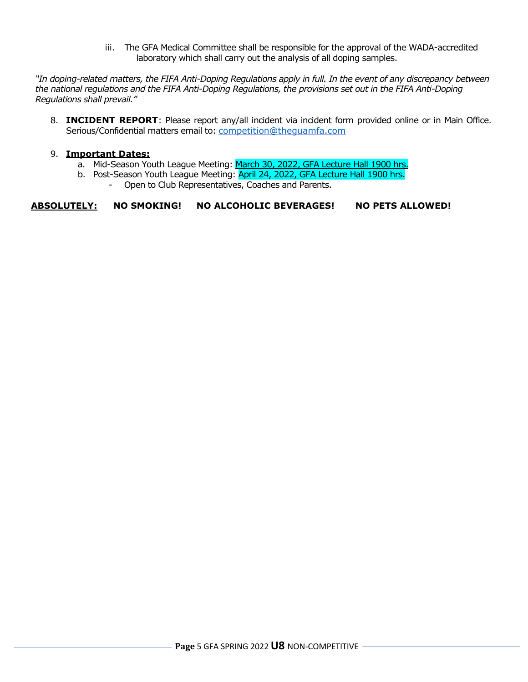iii. The GFA Medical Committee shall be responsible for the approval of the WADA-accredited laboratory which shall carry out the analysis of all doping samples.

*"In doping-related matters, the FIFA Anti-Doping Regulations apply in full. In the event of any discrepancy between the national regulations and the FIFA Anti-Doping Regulations, the provisions set out in the FIFA Anti-Doping Regulations shall prevail."*

8. **INCIDENT REPORT**: Please report any/all incident via incident form provided online or in Main Office. Serious/Confidential matters email to: [competition@theguamfa.com](mailto:competition@theguamfa.com)

#### 9. **Important Dates:**

- a. Mid-Season Youth League Meeting: March 30, 2022, GFA Lecture Hall 1900 hrs.
- b. Post-Season Youth League Meeting: April 24, 2022, GFA Lecture Hall 1900 hrs.
	- Open to Club Representatives, Coaches and Parents.

**ABSOLUTELY: NO SMOKING! NO ALCOHOLIC BEVERAGES! NO PETS ALLOWED!**